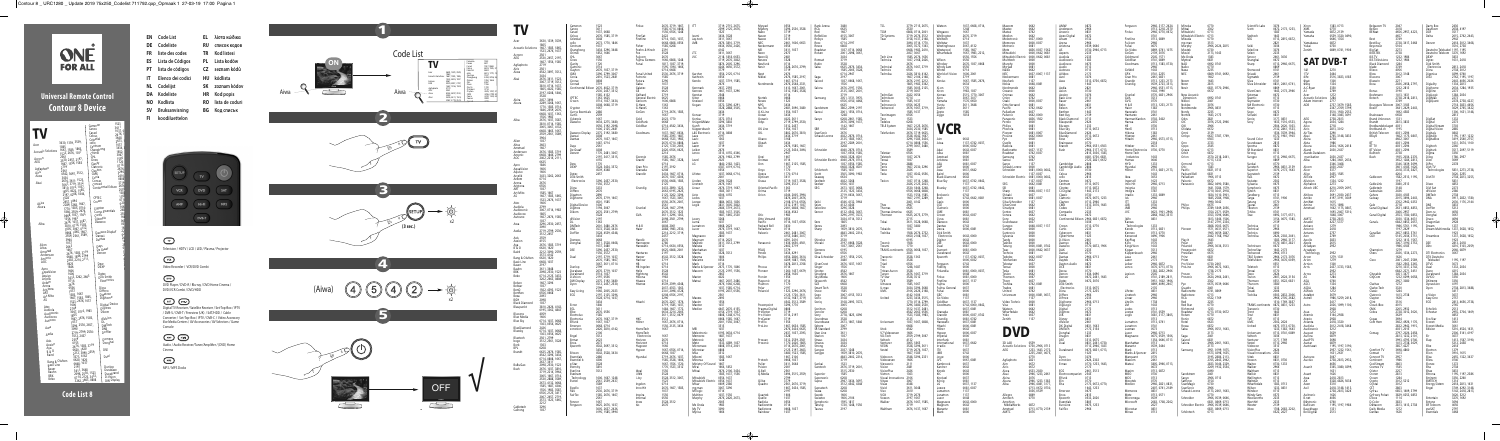# **Universal Remote Control Contour 8 Device**

|                                     |                                                                                                               | Cameron             |                              | 1523               |
|-------------------------------------|---------------------------------------------------------------------------------------------------------------|---------------------|------------------------------|--------------------|
|                                     |                                                                                                               | Canox               |                              | 3611<br>1037,0     |
|                                     |                                                                                                               | Carad               |                              | 2676, 1            |
|                                     |                                                                                                               | Celcus<br>Celestial |                              | 3648               |
| Acer                                | 3630, 1339, 3539,                                                                                             | cello               |                              | 2673,<br>1037      |
|                                     | 1865                                                                                                          | Centrum             | Changhong                    | 3434,              |
| <b>Acoustic Solutions</b>           | 1667, 1585, 1865,<br>1523, 2676, 1037                                                                         | Chimei              |                              | 1852,<br>3067      |
| Acronn                              | 2561<br>2530, 2457, 2197,                                                                                     | <b>CHL</b><br>Cinex |                              | 1556               |
| AEG                                 | 1667, 1556, 1585                                                                                              | Clarity             |                              | 1720<br>0714       |
| Agfaphoto                           | 2719<br>2561                                                                                                  | Clayton             | Clatronic                    | 2676,              |
| Airis<br>Aiwa                       | 4542, 3697, 3512,                                                                                             | CMX                 |                              | 3296,<br>2410      |
|                                     | 3434<br>2676, 3611, 1523,<br>3067, 3719, 3512,<br>3810, 0714, 1037,<br>1865, 4022, 1585,<br>2197, 0208, 1846, | Conia<br>Conrac     |                              | 0808               |
| Akai                                |                                                                                                               |                     | Conrad<br>Continental Edison | 3719<br>2676       |
|                                     |                                                                                                               |                     |                              | 2530               |
|                                     |                                                                                                               |                     |                              | 158<br>136         |
|                                     | 3528                                                                                                          |                     | CPTEC                        | 071                |
| Akira                               | 2457, 3494<br>2289, 3268, 1667,                                                                               |                     | Crown                        | 020                |
| Akura                               | 1770, 1585, 0714,                                                                                             |                     | Crypton                      | 166<br>248         |
|                                     | 1846, 2559, 2676,                                                                                             |                     | Currys Essentials<br>Curtis  | 255                |
|                                     | 0668, 1037, 1363,<br>1556, 1983<br>2676, 1037, 3587,<br>3810, 0714, 1585,                                     |                     | Cyberpix                     | 16<br>06           |
| Alba                                |                                                                                                               |                     | Daewoo                       | 05                 |
|                                     | 3005, 3067, 4132,                                                                                             |                     |                              | $\frac{16}{22}$ 02 |
|                                     | 0668, 1865, 1667,<br>2559, 2561, 3589,                                                                        |                     | Daewoo Display               |                    |
|                                     | 3964                                                                                                          |                     | Dansai<br>Dantax             | $\overline{26}$    |
| Alien                               | 1037                                                                                                          |                     |                              | 旬                  |
| Altus                               | 2663<br>1667                                                                                                  |                     | Days<br>De Graaf             | $20 - 20$          |
| Amstrad<br>Andersson                | 2676, 1585, 3719                                                                                              |                     | Denver                       |                    |
| Ansonic                             | 0668, 1846, 2799<br>2402, 2214, 2111,                                                                         |                     |                              |                    |
| AOC                                 | 0625                                                                                                          |                     | Dew                          |                    |
| Apro                                | 1846                                                                                                          |                     | <b>DEXP</b>                  |                    |
| AquaVision                          | 1606<br>1606                                                                                                  |                     | Dgtec                        |                    |
| Aquivo                              | 3433, 3262, 2663                                                                                              |                     | Dick Smith                   |                    |
| Arçelik<br>Ardem                    | 0714                                                                                                          |                     | Electronics                  |                    |
| Arena                               | 2676<br>0556                                                                                                  |                     | Dicra                        |                    |
| Aristona<br>ART                     | 1037                                                                                                          |                     | Differo                      |                    |
| Art Mito                            |                                                                                                               |                     | Digatron<br>Digihome         |                    |
| AS                                  | 1585, 1667<br>1667, 1585, 1865,<br>1523, 2676, 1037                                                           |                     |                              |                    |
| Atec                                | 1606<br>2799                                                                                                  |                     | Digital Device<br>Digitrex   |                    |
| Audiola<br>Audiosonic               | 3067, 0714, 1983                                                                                              |                     | Dikom                        |                    |
| Audiovox                            | 1865                                                                                                          |                     |                              |                    |
| Autovox                             | 1667, 2676, 1585,<br>1037                                                                                     |                     | diVision<br>DL               |                    |
| Awa                                 | 3296, 2530, 2457,                                                                                             |                     | <b>DMTech</b>                |                    |
| Axdia                               | 3090<br>2719, 2799, 2530,<br>3512, 2457                                                                       |                     | dns<br>Doffler               |                    |
| Axis                                | 2559                                                                                                          |                     | Domeos                       |                    |
| Axxion                              | 4155<br>2676, 1585, 3719                                                                                      |                     | Donghai                      |                    |
| Aya                                 |                                                                                                               |                     | <b>DSE</b>                   |                    |
| <b>B&amp;O</b><br>Baird             | 0620, 1620<br>2212, 3090, 2559,                                                                               |                     |                              |                    |
|                                     | 3573, 4142<br>0620, 1620<br>0668, 1037                                                                        |                     | Dual                         |                    |
| Bang & Olufsen<br><b>Basic Line</b> |                                                                                                               |                     |                              |                    |
| Bauer                               | 2197<br>3611, 3648                                                                                            |                     | Dunlop<br>Durabase           |                    |
| Bauhn                               |                                                                                                               |                     |                              | Durabrand          |
| <b>BBK</b><br><b>Beko</b>           | 2098, 2530, 1523<br>0714, 2125, 3433,<br>3262, 2663, 0808                                                     |                     | D-Vision                     | DW Display         |
|                                     |                                                                                                               |                     |                              |                    |
|                                     |                                                                                                               |                     |                              |                    |
|                                     | Code List 8                                                                                                   |                     |                              |                    |
|                                     |                                                                                                               |                     |                              |                    |



| FN | Code List         | FL. | λίστα κώδικα    |
|----|-------------------|-----|-----------------|
| DE | Codeliste         | RU  | СПИСОК КОДОВ    |
| FR | liste des codes   | TR  | Kod listesi     |
| ES | Lista de Códigos  | PL  | Lista kodów     |
| PТ | lista de códigos  | CZ. | seznam kódů     |
| IΤ | Elenco dei codici | HU  | kódlista        |
| NL | Codelijst         | SΚ  | zoznam kódov    |
| DΑ | Kodeliste         | HR  | Kod popis       |
| NΟ | Kodlista          | RΟ  | lista de coduri |
| Sν | Bruksanvisning    | ВG  | Код списък      |

**FI koodiluettelon** 

 $\bigcirc$ Television / HDTV / LCD / LED / Plasma / Projector

 $\bigcirc$   $\bigcirc$   $\bigcirc$ Video Recorder / VCR/DVD Combi

 $\bigcirc$ DVD Player / DVD-R / Blu-ray / DVD Home Cinema / DVD/VCR Combi / DVD/HDD







|                                      |                                                                                  | Canox<br>Carad<br>Celcus                     | 2676, 1585, 3719                                                                     | FinnSat                                        | 2676, 3719, 1667,<br>1585, 0714, 0808,<br>1556, 0556, 1248<br>2422             |                                            | 2399, 2125, 2676<br>3434.3528                                                    | Mystery<br>Nabo<br>Navon                               | 3296, 2530,<br>3719<br>3719                                               | <b>RCA</b><br>RefleXio                           | 4155, 3067                                                                                      | TD Systems                                                 | 3779, 2715, 2675,<br>0808, 0714, 2001<br>3719, 2676, 3512                   | Watson<br>Wellington                                 |                                                     | Mastec<br>Matsui<br>Medion.                 | 0742                                                                                 | Andersson<br>Ansonic<br>Apex Digital                  |                                                         | Finlux                                         | 2966, 3177, 2624,<br>0713, 2218, 2570<br>2966, 0770, 0672   | Mitsai<br>Mitsubishi<br>Mitsubishi Electri | 0713<br>0713                                                                 | Scott<br>Seeltech                                  | 3076<br>0672, 2173, 1233,<br>1383<br>164                                                        | <b>XMS</b><br>Yamada<br>Yamaha                     | 0872, 2139<br>0539, 3320, 0490                                    | BENsat                                                          | 2418<br>4656, 2957, 4223,                                                        | )autkon<br><b>DCR</b><br>Delta               | 2638. 4197<br>2015, 2762, 2443                                               |
|--------------------------------------|----------------------------------------------------------------------------------|----------------------------------------------|--------------------------------------------------------------------------------------|------------------------------------------------|--------------------------------------------------------------------------------|--------------------------------------------|----------------------------------------------------------------------------------|--------------------------------------------------------|---------------------------------------------------------------------------|--------------------------------------------------|-------------------------------------------------------------------------------------------------|------------------------------------------------------------|-----------------------------------------------------------------------------|------------------------------------------------------|-----------------------------------------------------|---------------------------------------------|--------------------------------------------------------------------------------------|-------------------------------------------------------|---------------------------------------------------------|------------------------------------------------|-------------------------------------------------------------|--------------------------------------------|------------------------------------------------------------------------------|----------------------------------------------------|-------------------------------------------------------------------------------------------------|----------------------------------------------------|-------------------------------------------------------------------|-----------------------------------------------------------------|----------------------------------------------------------------------------------|----------------------------------------------|------------------------------------------------------------------------------|
|                                      | 1667, 1585, 1865,                                                                | Celestia                                     |                                                                                      | Firstline                                      | 0714, 1363, 1037.<br>1668, 0808, 0556<br>1585, 0208                            |                                            | 3611, 3067<br>2676, 3810, 3719<br>0634, 0556, 2426                               | Naxoo<br>Neckermanr                                    | 2461, 1606, 0653<br>0556                                                  |                                                  | 0714, 2197<br>8080                                                                              |                                                            | 3494, 0714, 1770,<br>3005, 3572, 1363,                                      | Welltech<br>Westinghou                               | 3067.4132                                           | vlelectroni<br>vlemore:<br>Vletroni         | 0836, 0037, 1562                                                                     | Arena<br>Aristona                                     | 0539.064                                                | ujicom<br>Funai                                | 0713, 0869<br>0675                                          | Mizuda<br>mp man<br>Murphy                 | 2966, 2624, 28                                                               | SEG<br>Seiki                                       | 0713, 2815, 0872,<br>3036                                                                       | Yamakawa<br>Yukai                                  | 0646.1354<br>0872<br>0730<br>0869, 0741, 1906                     | Best Buy<br>Beyonwiz                                            | 2728, 3417, 3468                                                                 |                                              | 2418, 3012, 3468<br>3516, 2738<br>1197 1195                                  |
| AEG                                  | 1523, 2676, 1037<br>2530, 2457, 2197<br>1667, 1556, 1585                         | Changhong                                    | 3434, 3296, 3648                                                                     | Foehn & Hirsch<br>uiicom<br>Fujitsu Siemens    | 1666, 0808, 1248                                                               |                                            | 3611 3067<br>2118, 1818, 0653,<br>3719, 2676, 3802                               |                                                        | 3611. 1037<br>3528                                                        | Roadstar<br>Rolsen<br>Romsa <sup>.</sup>         | 1037, 0714, 0668<br>2001, 2098, 3067<br>3719                                                    | Technica                                                   | 0668, 1983, 2410,<br>2457 3067<br>1585, 2676, 1636<br>1037, 2168, 2426,     |                                                      | 1585. 1667<br>1667. 1983. 221.                      | Mitsubish<br>Mitsubishi<br>Multitecl        | 0000 0642                                                                            | Audioson                                              | 0730.2966.0713                                          | Go Video<br>GoGen<br>Goldmund<br>GoldStar      | 0869, 0741.<br>2139, 3076<br>2545. 1571<br>0741, 0869       | Mustek<br>Muvid<br>Mx Onda<br>Mvstra       |                                                                              | Selecline<br>Select<br>Sencor<br>Shanghai          | 3076<br>2461, 3036<br>0672                                                                      | Zenith<br>AT DVB-T<br><b>SAI</b>                   |                                                                   | <b>BiS TV</b><br><b>BiS Télévisions</b>                         | 1232 1986<br>1232, 1986                                                          | )eutsche Tele<br>Deutsche Telekom            | 3270, 1692<br>1631, 2418                                                     |
| Aiwa                                 | 4542, 3697, 3512                                                                 |                                              | 1720<br>2676, 1037, 3719<br>3296. 2799. 3067                                         | Funai United                                   | 1817, 1037, 3719.<br>595, 1394, 1666,<br>1714 0668<br>2530, 2676, 3719         |                                            | 3874, 2005, 3296<br>4244, 0650, 357.<br>1556, 2125, 0714                         | Neufunk<br>Nevir                                       | 0714<br>3528, 2676, 2799,<br>2676                                         | Ruhir                                            | 0625, 2676, 3434,<br>1585, 2005, 3528,<br>0714, 2947                                            | Technics<br>Technika                                       | 2676, 1667, 3719<br>2426, 3810, 4142,                                       | Windso<br>Windy Sam<br><b>Winte</b><br>World-of-Visi | 1606. 2001                                          | Murphy                                      | 0037, 0067.                                                                          | Audiovox<br>Audix<br>Autovo:<br>AVideo                |                                                         | ioodmans<br>GPX                                | 0713, 1383, 0730<br>0741.2235                               | NAD<br>Naxa<br><b>NFC</b>                  | 0692, 0741<br>0869, 0741, 069                                                | Sharp<br>Sherwoo<br>Shivaki                        | 0713, 2966, 0675                                                                                |                                                    | 3464                                                              | <b>Black Diamond</b><br>Blizoo<br>Blow                          | 1284<br>4056<br>3012, 3148                                                       | ick Smith<br>Electronics                     | 2738, 3012<br>0299, 0740                                                     |
|                                      | 2676, 3611, 1523<br>3067, 3719, 3512<br>3810, 0714, 1037,                        | onrad                                        | 2410. 1523. 2481                                                                     | Futronic<br>Futura<br>Gaba                     |                                                                                | Kathreir<br>Kendo                          | 1037, 3719, 1585,                                                                | Nikkei<br>Nordmende                                    | 2676, 1585, 2197,<br>667.0714<br>2676, 2548, 2331,                        | Saga                                             | 2197<br>1037, 0668, 1667                                                                        |                                                            | 1667, 2106, 2168,<br>2676, 2197, 2212<br>1865. 1983.                        |                                                      |                                                     | Neckerman<br>Neufunk                        | 0081<br>0048.0081                                                                    | Avol<br>Awa                                           | 3513, 0730, 0872                                        | Gran Pri<br>Grandin<br>Grundig                 | 2461 0831<br>0713, 1233, 2173<br>0539, 2723, 3513           | Neom<br>Neon                               |                                                                              | igmatek<br>Silva Schneider                         | 0831, 2461, 0741,                                                                               |                                                    | 3516, 3833, 4185<br>1334                                          | Blu:sens<br>Boca                                                | 2026, 2458, 2797,                                                                |                                              | 2762, 1195, 119<br>:443, 4056, 202(<br>1334. 2813                            |
|                                      | 1865, 4022, 1585,<br>2197, 0208, 1846                                            |                                              | Continental Edison 2676, 4022, 3719,<br>2530, 2457, 3512<br>1585, 4132<br>1363, 0625 | Galatec<br>General Electri                     | 0625                                                                           | Kenmark<br>Kennex<br>Kenstar<br>Kiton      | 2637, 2393<br>1667, 1037, 3296                                                   | Nortek                                                 | 1413, 1667, 2001,<br>3512, 1585, 3528,                                    | Samsung                                          | 2676, 2197, 1556,<br>2125, 3067, 2001<br>2051, 3131, 3970                                       | Technisson                                                 | 1585, 3005, 2125<br>19306.<br>422.0556<br>0714                              | Xiror<br>Xomax<br>Xoro                               | 1770<br>3515. 1770. 3                               | vordmende<br>Jceanic<br>Jnımax<br>Orion     | 0000<br>0742                                                                         | Axion<br>Axxion<br>Basic Line                         |                                                         | Grunkel<br>GVA                                 | 2966, 0551, 0713<br>0770, 0831, 2966                        | Nevir<br>New Acousti<br>Dimension          | 0831, 0770, 2966,                                                            | <b>SilverCrest</b><br>Sistemas<br>Skantic          | 0869<br>1643, 2173, 2966<br>0713                                                                | A.C.Rvan<br>Acoustic Solutions                     | 3350<br>1284                                                      | Boshmann<br>Botech                                              | 1232, 2813<br>1413, 1631<br>2738, 2418, 2813,                                    |                                              | 2034, 1284, 193!<br>1284. 2034                                               |
|                                      | 2457, 3494<br>2289, 3268, 1667<br>770, 1585, 0714<br>1846, 2559, 2676            |                                              | 0714, 1037, 3434,<br>0208.0668                                                       | Gericom<br>G-Hanz<br>G-HanzS<br>GoGen          | 1606.0808<br>1363.<br>1363.<br>3719, 2676, 1585,                               | Kneissel<br>Kogan                          | 0556<br>3572, 3296, 4291                                                         | <b>Novex</b><br>Nu-Tec<br>O.K.Line                     | 1523<br>2481, 3090, 3480<br>1556, 1037                                    | Sandstrøm<br>Sansui                              | 0556, 4150, 4468<br>3802, 2399, 2197<br>2001, 1556, 0714,                                       | Techno<br>echnosonic<br>Techwood                           | 1585, 1037<br>0556, 0625<br>2676, 1667, 371<br>1585, 1037                   | Yamaha<br>Yuntu                                      | 576.0650                                            | Otto Versano<br>Pacific<br>Palladium        | 0000, 0037                                                                           | Bauer                                                 |                                                         | GVG<br>H & B<br>Hanseatı                       | 0770<br>0713, 1233, 2173                                    | Nikke<br>Noblex<br>Nordmend<br>Nordv       | 2966, 0831                                                                   | Skymaster<br>SM Electronic                         | 0730<br>0730<br>0713<br>0672                                                                    | Adam Internet                                      | - 2717<br>2737, 3679, 1585<br>2367, 2769, 3799<br>5510, 1920, 255 | Bouygues Telecom                                                | 3007, 3185<br>3641, 2429, 2443,<br>1692.4583                                     |                                              | 2278, 2738, 4227<br>2718, 3833, 4656<br>3629, 2765, 342.<br>1300, 1631, 3148 |
| Alba                                 | 0668, 1037, 1363<br>1556, 1983<br>2676, 1037, 3587<br>3810, 0714, 1585           | ewoo                                         | 0634, 2275, 3480                                                                     | Goldfunl                                       | 023, 1770<br>0668                                                              | Konka<br>Crüger&Matz                       |                                                                                  | Ocean<br>Oceanic<br>Odys                               | 3434<br>4022, 3611<br>2719, 2799, 2530,                                   |                                                  | 0208, 2461, 1585<br>2676, 3096, 1037                                                            | Tecnimagen<br>Tedelex                                      | 0208                                                                        | Ziggo                                                |                                                     | Palsonic<br>anasoni?                        | 0836, 1562                                                                           | <b>Rest Ruv</b><br><b>Black Diamond</b><br>Blaupunk   |                                                         | Hantare)<br>-larman/Kardor                     | 0702, 3402                                                  | Nortek                                     | 1643 217<br>3076, 2723, 2966                                                 |                                                    | 0831<br>3177, 0831<br>1633, 1516, 0533,                                                         |                                                    | 3148.3083.369<br>2738, 2813<br>2034, 1284                         | <b>Brainway</b><br><b>Brand Unknow</b>                          | 2813.3833                                                                        |                                              |                                                                              |
|                                      | 3005.3067.4132<br>668, 1865, 1667<br>2559, 2561, 3589                            | aewoo Display<br>Dansai                      | 0556, 3192, 2098,<br>1606, 2125, 2481<br>2275, 3192, 3480<br>0208                    | GoldStar                                       | 0714, 4542, 3434,<br>1037, 1667, 0634,<br>585, 2393, 1687                      | L&S Electronio                             |                                                                                  | OK Line                                                | 3512, 2457<br>1556, 1037<br>802, 2676, 3810,<br>3434, 3719                | SRR<br>ScanSonic<br>Schaub Lorenz                | 1142, 1667<br>2676<br>4022, 2676, 0714                                                          | TELE System<br>Telefunken                                  | 1667, 2125, 2676<br>3434, 2530, 158<br>2676, 3719, 0625<br>3528, 4542, 1667 |                                                      |                                                     | 'roLine                                     | 0642.0000                                                                            | Blu:sens<br>Blue Sky<br><b>BlueDiamono</b><br>Bluesky | 0713, 0672                                              | Hikona<br>Hisense                              | 0730<br>0713<br>1383<br>2461                                | Olidata<br>Onkyo                           | 0672<br>2139<br>0627, 3787, 1769,                                            |                                                    | 2504, 2020, 1033,<br>2132. 2861. 1533<br>1536, 3539, 3964,<br>772, 1981, 1903                   | AirTies<br>Akai                                    | 2718<br>2813, 3012<br>3290<br>2765, 3148, 3833                    | Bredbandsbol<br><b>Rreithand</b> ch<br>British Telecom<br>BSkyB | 4031, 2294<br>1662, 1175, 084.                                                   | igital Strean<br>aital Visioi                | 1195, 1197, 1232                                                             |
|                                      |                                                                                  | Dantax<br>De Graaf                           | 2676, 1037, 1667,<br>1687, 0714<br>0208                                              |                                                | 0668 1523 1983<br>2676.0714.0808<br>'125. 1720. 200'<br>2426, 0556, 0625,      |                                            |                                                                                  | Okano<br>Okeah                                         | 2676, 1585, 1667,<br>2125, 3434, 3494,                                    | Schneider                                        | 2125, 1585, 1667<br>2197, 2289, 2001<br>4040, 2676, 0714                                        |                                                            | 3296, 1585, 3434,<br>0714, 0808, 1556,<br>2799, 3067,                       |                                                      | 1137, 0742, 003                                     | Radiola<br>Radionette                       | 0081<br>0081<br>0037, 1137                                                           | <b>Bose</b><br>Brainwave<br>Brandt<br>Bush            | 0770<br>2966, 0551, 050<br>2966, 3177, 071              | Hitachi<br>Hitekeı<br>Home Electronics         | 2966, 0573, 0713<br>0730, 0770                              | Orava                                      |                                                                              | Sound Color<br>oundwave<br>pectra<br>SR Standard   | 0831                                                                                            | Akira<br>Akta<br>Akura<br>Aland                    | 2738<br>2034, 1626, 2418<br>2030, 2437                            | BT TV<br><b>BT Vision</b>                                       | 4662.3061<br>4031, 2294<br>4031, 2294<br>4031, 2294                              | igitalBox                                    | 3419, 2540, 2757<br>1631, 3674, 110(<br>3517, 2097, 5119                     |
| Andersson<br>Ansonic<br>AOC          | 2676, 1585, 3719<br>0668. 1846. 2799                                             | Denver                                       | 1770, 2481, 3067,<br>2197, 3417, 3515,<br>1770                                       | Graetz                                         | 1585, 2676<br>1585, 1667, 3528,<br>0714                                        |                                            | 3515, 4155, 434<br>2676, 1983, 2799<br>1840, 2182, 1423,                         | Onei<br>Onimax                                         | 0714                                                                      |                                                  | 1037. 0556. 1585<br>0668. 3528. 450′<br>Schneider Electric - 4040, 2676, 0714<br>1037.0556.158! | Teletech<br>Tensai                                         | 0556<br>1037, 2676<br>2888                                                  | Amstrad                                              | 0081.0037                                           | የoadstar<br>amsuno                          | 0742, 0037                                                                           | Cambridge                                             | 2815, 3036, 138<br>4081 0730 08<br>2723, 2821, 067      | Home Tech<br>Industries<br>Humax               |                                                             | Orion                                      | 2570, 2218, 246                                                              | Sungpo<br>Sunkai                                   | 0713<br>0713, 2966, 0675,<br>0770                                                               | Alands Datakon<br>munikation<br>Alba               | 2030, 2437<br>1284, 3601, 2034<br>3346.3468                       | Bulltecl                                                        | 1935. 2034. 2376<br>1652. 1284. 281<br>3346.3439.3699                            |                                              | 2278.                                                                        |
| Arcelik                              | 3433, 3262, 2663                                                                 | DEXP                                         | 3528, 3434, 3572,<br>4539.4348                                                       | Gran Prix<br>Granada<br>Grandii                | 2197, 3192<br>3434. 1667. 0714.                                                |                                            | 4787.4119.071                                                                    | Onn<br>Opera                                           | 1667, 2125, 1585,<br>1770, 0714                                           | Schöntecl<br>Scott                               | 0668, 3528, 4501<br>1585. 1037<br>3505, 3090, 1983                                              |                                                            | 1667, 2530, 3296<br>1037.4542.0556                                          | Bairc                                                |                                                     | Schaub Loren:<br>Schneider                  | 0000<br>0081, 0000,<br>1137 0037                                                     | Cambridge Audic                                       |                                                         | HYD.<br>Hvundai<br>Höher                       | 0713, 0831, 2                                               | Pacific<br>Packard Bel                     |                                                                              | Sunstech<br>Superior<br>supratech                  | 2966, 0831, 2139<br>3076, 2173, 1643                                                            | Alcon<br>Alcor<br>Alice                            | 2030, 2437<br>3455, 1585                                          |                                                                 | 3601, 4185, 1626,<br>2418, 3735, 3827                                            |                                              | 5831, 2273, 2738<br>3020, 3255                                               |
|                                      |                                                                                  | Dick Smith<br>Electronics                    | 3296, 2457, 2530,<br>1556. 3572                                                      |                                                | 2676, 1037, 4306,<br>0556, 0668, 1585,<br>3433, 2890, 1223,                    |                                            | 3296. 3528<br>2676, 1667<br>2676, 3719, 1667,                                    | Opticum<br>Orava<br>Oriental Pacific                   | 3719, 1037, 3528,<br>3296, 3512<br>1363                                   | Seeltech<br>Seelver<br>SEG                       | 0634<br>4022, 3268<br>0556, 1037<br>2673, 1037, 0668,                                           |                                                            | 0714<br>1037, 0714, 1248,<br>2426, 2125, 2023,<br>2530, 1846, 3268,         | <b>Black Diamone</b><br>Blue Sky<br>Bluesky          | 0642<br>0037, 0742, 0642,<br>0037, 0742, 0642,      | Schneider El                                | 0081.0000.0642                                                                       | Cinetec                                               | 0713.067<br>0713, 0872                                  | ngersoll<br>Inno Hit<br>nsignia                | 1023<br>2966, 0713<br>0741                                  | Palladium<br>Palsonio<br>Panasonic         | 1906, 0713<br>3862, 0490, 3<br>1641.3584.1                                   | /mphoni                                            | 2302<br>-067<br>0675                                                                            | AllTele<br>Allvision<br>Alphabox<br>Altech UEC     | 2957<br>1334, 1232<br>4210, 2059, 2097                            | Cablecom<br><b>CableLink</b><br>Cabletech                       | 1582, 2513, 1195,                                                                | DiVi Sat                                     | 2738, 2813, 3255                                                             |
| Art Mito                             | 1585, 1667<br>1667, 1585, 1865<br>1523, 2676, 1037                               | igihome                                      | 2676, 3719, 1667<br>4501, 1585                                                       |                                                | :663, 0195, 2625,<br>2125, 3262, 3296,<br>567. 1523. 3067<br>0556, 2676, 2007, |                                            | 1585.3611<br>4306, 4155<br>1884.0633.183                                         | Orima                                                  | 3719<br>4346, 2005, 3994,<br>3874, 2007, 2676,<br>2108, 0714, 0556,       |                                                  | 2125, 1523, 3434,<br>2719, 0634, 3067,<br>4346, 4132, 3964                                      |                                                            | 0556, 0668, 0808,<br>1523, 1556, 1585,<br>2461, 4142                        | Bush<br>Casio                                        | 0742.0642.008                                       | Siemens<br>Silva Schneid                    | 0048, 0037.                                                                          | .J Digital<br>Clatronic<br>Clayton                    | 1643 217<br>0672, 0675, 1233<br>0713, 2966              |                                                | 3787<br>1233, 0869<br>1233                                  |                                            | 2710.3641.29<br>1834 1010 39<br>1845. 2584. 190<br>1990, 3642                | andberg<br>larga                                   | 0831<br>0713<br>0741, 1906<br>0770                                                              | Altibox<br>Amiko<br>AmiNet                         | 3691, 2030, 2437<br>4197, 3191, 3649                              | Cabovisão<br>Cahors<br>Caiway                                   | 3020, 4185<br>2015, 3694, 2443,<br>2762, 2942, 0253                              | liVisior                                     | 3917, 2832, 1780<br>2030. 1176. 2144                                         |
| Audiosonic<br>Audiovox               | 3067, 0714, 1983                                                                 |                                              | 1606<br>3194, 3067<br>2676, 2561, 2799,                                              |                                                | 3528. 1667. 2799.<br>2676, 3512, 1523                                          |                                            | 3831 3005 380.<br>486.3719.267                                                   |                                                        | 3512, 2197, 1037,<br>2001, 0808, 1667,<br>3434, 4542                      | Sencor                                           | 4132, 4346<br>3296, 3528<br>4132, 4542, 3067,                                                   | Thomas<br>Thomas America                                   |                                                                             | CGF<br>Clatronic                                     |                                                     | ilverCrest<br>ınudvn                        |                                                                                      | <b>CMX</b><br>Codex<br>Compacks                       | 3513, 3076, 1643                                        |                                                | 0730<br>2966<br>0623, 1901, 2966                            |                                            | 0675<br>2789, 1849, 205<br>1354, 2371, 0539                                  | lauras<br>FBostor<br>lchibo                        | 2461<br>2139<br>0741                                                                            | Amino<br>Amstrad                                   | 1615, 1898<br>1662, 1175, 0847<br>1693, 2467, 5310                | Canal Digitaal                                                  | :631. 0853. 4853.                                                                |                                              |                                                                              |
| Autovox                              | 1667, 2676, 1585<br>3296, 2530, 2457                                             | DMTech                                       | 2001.3480.2676                                                                       | H & B                                          | 3611, 3296, 1363,<br>:098, 2561, 2799,<br>0808, 2001                           | Lumatro                                    | 1687. 1865. 2530<br>0668, 2023                                                   | Otto Versand<br>Pacific<br>Packard Bell                | 0714, 1037, 0556<br>3630.                                                 |                                                  | 3296, 2197, 3572<br>3434, 0714, 3512                                                            | Thomson                                                    | 0625, 2675, 3779,<br>3611, 3528, 0668,<br>037, 3480                         |                                                      |                                                     | ioundway<br>iungpo                          | 0048, 003                                                                            | Conia                                                 | 06/2<br>Continental Edison 2966, 0831, 0872<br>0713.077 | Kansa:<br>Technol                              | 2868, 1602, 3513                                            |                                            | 3353.3594.064<br>1813 1846 150<br>3147, 2791, 2334<br>2868.0503.06           | Teac<br>Technica                                   | 0692, 3177, 0571,<br>3154, 0675, 1383,                                                          | Anadc<br>Ankarc                                    | 1848. 3067<br>2738, 2813<br>4227, 5377<br>1279                    |                                                                 | '553. 1780. 085.<br>'030. 1334. 403<br>0842, 0853, 265<br>986, 5761, 1195        |                                              |                                                                              |
|                                      | 2719, 2799, 2530,<br>512, 2457                                                   | Doffler                                      | 3572, 3528, 3434<br>3528, 4539, 4348,                                                | Haier                                          | 2888. 1983. 2530<br>214, 2212, 371!<br>2676                                    | Magnum                                     | 2676, 3719, 1667,<br>1585. 1037<br>0714, 2023                                    | Palladium<br>Palsonic                                  | 0714<br>2461, 2481, 3067,<br>4155, 3480, 3417<br>4291.2410                | Sharp                                            | 1659, 3810, 2676,<br>4843, 2402, 2214,                                                          | Toshiba                                                    | 1508, 2676, 2732,<br>0650, 2108                                             | Decca<br>Dick Smith<br>Electronics                   | 0000, 0081                                          | iuntroni                                    |                                                                                      | Cvbercom<br>:vberHome<br>D-Vision                     |                                                         | Cendo<br>Kennex<br>Kenwood<br>CeyPlug          | 0713, 0831<br>0713, 0770<br>0490, 1906                      | Play It                                    | 1571, 0631, 0571<br>1965, 0059, 2847<br>2442, 1768, 1902                     | Technical<br>Fechnics<br>Technika                  | 2966<br>0490<br>2624, 2302, 2461<br>1383. 2966. .                                               | Ansonic<br>Antare<br>Anoll                         | 2418<br>2757<br>3833                                              |                                                                 | 1197, 2429<br>2657, 0853, 5761<br>5145, 2034, 3751,<br>1232, 1413, 1567          | Dream Multimedia.                            | 1237, 3628, 165<br>1237, 3628, 1652                                          |
| Baird                                | 2676, 1585, 3719<br>0620. 1620<br>2212, 3090, 2559                               |                                              | 3611, 3528, 0668,<br>3296, 2457, 2530,<br>1556. 3572                                 | Hannspre<br>Hanseatıo<br>Hantare:              | 2786<br>0714, 0634, 0556,<br>1625, 0808, 2001                                  | Maiestic<br>Manata<br>Manhatta<br>Manta    | 3528, 3512                                                                       | Panasonic<br>PEAO<br>Pendo                             | 1636, 0650, 4501,<br>3434, 4291                                           | Shivaki<br>Siera                                 | 2197, 0668, 3528.<br>1037, 3067, 2561                                                           | Tosonic<br>Tosumi<br>TRANS-continents                      | 1508<br>1770<br>0556, 0668,<br>2023                                         | Dumoni<br>Durabrand                                  | 0642.0000                                           | atung<br>Technics                           | 0000, 0081.<br>0000.0642                                                             | DAK<br>Dansar                                         | 0770, 0872, 1906<br>0770                                |                                                | 0770                                                        | Polaroid<br>Powerpoir<br>Presidian         | 2966, 3036, 3513                                                             | Technisson<br>FechnoStar<br>Fechwood               | 0770.0831.2821<br>2966.0713                                                                     | Arcadyar<br>Arcadyar<br>Technology                 | 2615<br>2952<br>2952                                              |                                                                 | 3067, 3190, 3753,<br>986, 4185<br>2026, 1334, 2273,                              | DSE<br>DStv<br>DTI Electroni                 | 2813, 2418<br>4210, 5103, 2059                                               |
| Bang & Ol<br>Basic Line              | 3573, 4142<br>620, 1620                                                          |                                              | 2197.3719.1037<br>2676. 1585. 1667<br>3067, 3611, 0714                               | Harper<br>Harrow                               | 4542, 3512, 3528<br>0714                                                       | Magma<br>Marantz<br>Mark                   |                                                                                  | <b>Philips</b>                                         | 0556, 2800, 3614,<br>4209.1887.1506<br>3678, 2813, 2768                   | Silva Schneider<br>ilverCrest                    | 2197, 1556, 2125<br>2676, 1037, 1667                                                            |                                                            | 3528, 1363<br>0556<br>1248, 1687                                            | Epworth                                              | 1137, 0742, 0037                                    | Tedelex<br>Telefunker<br>elestar            | 0000                                                                                 | Dantax<br>Daytek<br>Dayton Audio                      | 2966.07                                                 |                                                | 2966, 0872                                                  | Prinz<br>Prism<br>Pro Vision               | 0730, 2461                                                                   | <b>TELE System</b><br>Felefunken                   | 2966, 2173, 3076<br>2966, 3076, 0059,                                                           | Arcon<br>Arion<br>Arnion                           | 1279, 1331<br>1279<br>1300                                        |                                                                 | 2401 2047 2589<br>3270. 3337. 2742                                               | )TK Deutscl                                  | 1232, 2034                                                                   |
|                                      | 3611 3648<br>2098, 2530, 1523<br>0714, 2125, 3433,<br>3262, 2663, 0808           | Jurabase<br>Durabrand<br>D-Vision            | 0714, 1037<br>2197, 0556                                                             | HB Inaeler<br>Hightong<br>Hikona               | 1983                                                                           | Marks & Spencer<br>Mascom<br>Master        | 2673, 1770,<br>2125, 2197,<br>4022                                               | Phocus<br>Pioneer                                      | 0714<br>1260. 1457. 0679.<br>458, 1636!                                   | Sinudyne<br>Sky Media                            |                                                                                                 | Tristan Auror<br>Tucson<br>TV Star                         | 3528<br>2676, 1667, 371<br>3528, 3512                                       | Finlux                                               | 0081.0000.                                          |                                             |                                                                                      | Decca<br>Denon<br>Denver                              | 0770<br>1634 049                                        |                                                | 3076, 0713, 0770<br>1383, 2832, 2966<br>0741, 2189, 2811    | ProLine                                    | 2966, 0672, 164<br>1738.2173                                                 | Teletech                                           | 0713<br>0770<br>2624<br>2407, 2624, 3154                                                        | Arris                                              | 2437, 3723, 1585                                                  | CityCom                                                         | 2271.345<br>151 3477<br>1232, 0299, 0658,                                        | Dua<br>Dune<br>Jurabrand<br>DVICO            | 1284, 2034                                                                   |
| Belson<br>Belstar<br>BenQ<br>Berthen | 1667, 3296<br>1037<br>1562, 4393, 1523                                           | DW Display<br>Dyon<br>Easy Living<br>ECG     | 2275, 3192, 3480<br>3512, 2457, 2530,<br>2799<br>1666, 2005, 2023                    | Hisawa<br>Hisense                              | 0714<br>4539, 2399, 4348,<br>2037, 4353, 1363,<br>2341, 2098, 4728,            | Matsui                                     | 1667, 2007, 2486,<br>2676, 1666, 0208,<br>1037, 1585, 0714,<br>0195, 2637, 0556, | Playsoni<br>Plustron<br>Polar<br>Polaroid              | 1770<br>2197<br>1523, 3296, 2676,                                         | SLX<br>Smart Tech                                | -4344<br>0668<br>3528<br>1585                                                                   | <b>Ultravox</b><br>U-max<br>UMC                            | 1585, 1667<br>3434, 3296, 3648<br>2106, 2426, 2168,                         | Fujitsu<br>Fujitsu General<br>Funai                  | 0000<br>0037<br>0000                                | Toshiba<br>Tradex<br>United                 | 0742, 0081<br>0081<br>0742                                                           | Dick Smith<br>Electronics<br>Dicra                    | 3513, 0675<br>2173, 2235                                | Lifetec                                        | 3951.1602.190<br>0869, 4090, 2407,<br>2135<br>0831          | Pye<br>Quadro<br>Radionette                | 0675, 0539, 0646<br>2461<br>0741, 0869                                       | Thurcom<br>Tokai<br>Tosaki                         | 0551, 0522, 0831<br>3580<br>1233<br>2006                                                        | ASCI<br>ASDA<br>ASRock                             | 0740<br>1334<br>1284<br>1272                                      | Claritas<br>Clarke-Tech<br>Classic                              | 1272<br>3320<br>1284                                                             | Dynavision<br>Dyon                           | 4197<br>2738, 2813, 3688,<br>3417                                            |
| Bexa<br>BGH<br>Black Diamond         | 0556,0668<br>2493<br>1037                                                        | Ecron                                        | 2197, 2125, 3296,<br>3528, 0714, 1037,<br>3434<br>1846                               | Hitachi                                        | 0208, 0556, 2197,<br>3296 —<br>2676, 2207, 1576,<br>3719, 1585, 1037,          | Maxim<br>Maxton                            | 2561<br>2493<br>1556<br>1037                                                     | Powerpoint                                             | 2125, 1720, 3611,<br>4132, 1687, 3719,<br>4542, 3512, 3589<br>3296, 1770  | Sogo<br>Sonio<br>Soniq                           | 3067, 4155, 3512<br>3168<br>3168, 2493, 3572,<br>3005                                           |                                                            | 4142, 1606<br>3233, 3434, 3515,<br>1770, 0714, 2799,<br>3296, 3480, 2530,   | GEC<br>Go Video<br>GoldStar<br>Goodmans              | 0081<br>1137<br>0037, 1137<br>0742, 0000, 0642,     | Universum<br>Video Technic<br>Visa          | 0000, 0081,<br>0037<br>0000<br>0081                                                  | Differo<br>Difrnce<br>Digihome<br>DigiLogic           | 2966<br>2235<br>2966, 0713<br>0713                      | Linetech<br>Linsar<br>LiteOn<br>LM             | 2966<br>2966<br>1738<br>1643                                | Radiotone<br>RCA<br>Red<br>Red Star        | 0713<br>0522, 1769<br>2235<br>0770                                           | Toshiba                                            | 0503, 2832, 2006,<br>2966, 2705, 2682,<br>1510, 1769, 3857<br>TRANS-continents 0872, 0831, 1233 | AstaNet<br>Astrell<br>Astro                        | 3679<br>1986, 5259, 2418<br>3417<br>2026, 1099, 1100              | Clatronic<br>Clayton<br>Clint<br>Cloud-IBox                     | 1413, 2738<br>1626<br>3516<br>4015                                               | e Vision<br>Easy-One<br>ECG                  | 3637<br>2757<br>2813, 4656, 2738,<br>2765                                    |
| Blaupunkt<br>Blu:sens<br>Blue Media  | 3810, 2426, 4142,<br>0195, 3362, 4843<br>4059<br>1606                            | Electrolux<br>Electronia                     | 3611<br>2676, 0556<br>1585<br>2676, 1667, 3719                                       | нкс                                            | 1484, 1667, 1772,<br>0634, 2214, 2005,<br>3611, 3512, 0679<br>3512             | Medion                                     | 4447, 2676, 4155,<br>4154, 2719, 1037<br>0808, 1248, 0714,<br>0668, 1585, 1667,  | Pragma Digital<br>Princeton<br>Pro Vision<br>ProCaster | 0808<br>3719<br>0714, 2197<br>3719                                        | Sonitron<br>Sonolor<br>Sony<br>Soundmax          | 0208<br>0208<br>2778, 1825, 4396<br>3528                                                        |                                                            | 3512, 1037, 2481,<br>4542, 2663, 0556,<br>1523, 1585, 1983,<br>2125         | Granada<br>Grandin                                   | 0037,0081<br>0081<br>0000, 0037, 0742<br>0081, 0742 | Watson<br>Wharfedale<br>Yoko<br>Zenith      | 0642<br>0642<br>0037<br>1137                                                         | Digital<br>Digitrex                                   | -2173<br>0672<br>0831<br>0831                           | Lodos<br>Loewe<br>Logik                        | 0713<br>0741, 0539<br>3681, 3177, 3805<br>0713              | Richmond<br>Roadstar<br>Rolsen<br>Ronin    | 1233<br>0713, 0730, 0672<br>0770<br>0872                                     | Transonic<br>Trent<br>Trevi<br><b>TVE</b>          | 0730<br>1643<br>0831<br>0713                                                                    | Asus<br>Atemio<br>Atevio                           | 2928<br>1272<br>5164, 2928<br>2928                                | CMX<br>Cobra<br>Cogas                                           | 2205, 2932<br>2728, 3012, 3020,<br>3629<br>3694                                  | Echolink<br>Echostar<br>co-Star:             | 2513<br>2955, 3704, 1409,<br>0853<br>1413                                    |
| Blue Sky<br>BlueDiamond<br>Bluesky   | 0714, 1037, 0668,<br>1363, 0556, 0625<br>2426<br>0714, 1037, 0668,               | Elfunk<br>Emerson<br>e-motion                | 1667, 1037<br>0668, 0714<br>2426, 3810, 4142,                                        | Höher<br>HomeTech                              | 1667, 2676, 0714,<br>1556, 2125, 3434<br>1667                                  | MEI                                        | 2001, 1556, 3067,<br>3515<br>1037                                                | Profilo<br>ProLine                                     | 1556<br>1667, 0634, 1585,<br>2676, 3434, 0625,                            | Soundwave<br>Sphere<br>SR Standard               | 2673, 1667, 1846<br>3067<br>2799                                                                | Universum<br>Utok                                          | 1037, 1667, 0808,<br>0668<br>4542                                           | Grundig<br>Hanseatic<br>Hitachi<br>Höher             | 0037,0081<br>0000, 0081<br>0642                     |                                             |                                                                                      | Disney<br>diVision<br>DK Digital<br>DMTech            | 2461<br>0831, 1643<br>2173, 3154                        | Lumatror<br>Lunatron<br>Luxman                 | 0713, 0741<br>0741<br>0573                                  | Rotel<br>Rowa<br>Saba                      | 0623<br>0872<br>2966, 0551, 1643,                                            | <b>UMC</b><br>United                               | 2302, 2624<br>0675, 0713, 0730,<br>1233, 1383, 1643                                             | Atlanta<br>Audiola<br>Audiosonic                   | 2418, 3320<br>3012, 2418, 3468<br>5212                            | Com Hem                                                         | 3662, 4926, 1176,<br>2832, 2942, 1915,<br>4031, 2015                             | Econet<br>Econet Media<br>Edision            | 3061<br>3061<br>5210, 4524, 1631,                                            |
| Bluetech<br>bogo<br>Bork             | 1363, 0556, 0625<br>2561, 2799<br>3512, 2561, 3528<br>1363                       | Engel<br>Enmar<br>Enox.                      | 2106<br>3512<br>2023<br>2673                                                         | HomeTech<br>Electronics<br>Horizon<br>Horizont | 1667<br>2676<br>0714                                                           | Melectronic<br>Memorex<br>Metronic<br>Metz | 0195, 0634, 0714<br>1687, 1037<br>0625<br>1533, 4289, 1037                       | Proscan<br>Prosonic                                    | 2637, 1037, 2393,<br>3528<br>3512, 2559, 2561<br>1770, 2426, 1865,        | Stan Line<br>Starion<br>Strazus                  | 3611<br>1037<br>3434<br>3434                                                                    | V7 Videoseven<br>VD-Tech<br>Veltech<br>Venturer            | 1666<br>2559, 2799, 3067<br>4132<br>3005, 1865                              | Hypson<br>Imperial<br>Interfunk<br>International     | 0000, 0037<br>0000<br>0081<br>0037, 0642            | <b>DVD</b><br>3D LAB                        | 0539                                                                                 | Donghai<br>Dragon<br>Dual                             | 1233<br>0831<br>3513, 0675<br>0831, 2461, 0730,         | Luxor<br>Magnavox<br>Manhattan                 | 2966, 0713<br>0675, 0539, 1506<br>1354, 0646, 0713<br>0713  | Saga<br>Saivod<br>Salora                   | 2173<br>2461<br>0831<br>2966, 2461, 1643,                                    | Universum<br>Veltech<br>Venturer<br>Vestel         | 0713, 0741, 0869<br>3036<br>3177.1769<br>0713, 2966                                             | August<br>Aurora<br>AusIPTV<br>Austar              | 3629<br>0879<br>3698<br>0879                                      | Comag                                                           | 2797, 2026, 2458,<br>2813, 1232, 2101,<br>3993, 4795, 0740,<br>1413, 2738, 3629, | Elap                                         | 2306, 5141, 4197<br>3637<br>1413, 1567, 3190,<br>5212, 2458                  |
| BPL<br>Brandt                        | 0208<br>0625, 2676, 1585,<br>4542, 3296, 3434,                                   | Epworth<br>Erisson<br>Essentials             | 4542, 3697, 3512,<br>3434<br>4542, 3528, 3434<br>2486                                | Hugoson<br>Hypson<br>Hyundai                   | 1666<br>1667, 0556, 0714,<br>0668, 1037<br>3719, 2676, 1037,                   | Micromaxx<br>Microstar<br>Miia<br>Mikomi   | 0808, 0714, 2001<br>0808<br>3512<br>1585, 1667                                   |                                                        | 0714, 2676, 2001,<br>2125, 2197, 2663,<br>3480, 1523, 1585,<br>1667, 2106 | Strong<br>Sungoo<br>Sungpo                       | 4542<br>2037, 1248<br>1659, 3810, 2676,<br>4843, 2402, 2214,                                    | VEON<br>Vestel<br>Videocon                                 | 3528, 3296, 3611<br>3719, 2676, 1037,<br>1667, 1585<br>2548, 3296, 2331     | Irradio<br>ITV<br>JMB                                | 1137<br>0037<br>0742<br>0000                        | AEG                                         | Acoustic Solutions 0730, 2966, 0713<br>1233, 1643, 2173<br>2235, 2461, 0675,<br>0770 | Durabrand<br>Dyon                                     | 0713, 2966, 1023<br>0675, 0831, 0713,<br>1023<br>3076   | Marantz<br>Mark<br>Marks & Spencer<br>Marquant | 0539, 3444<br>0713<br>2815<br>0770                          | Samsung                                    | 2173<br>2951, 0199, 1075<br>0573, 0298, 1635,<br>3195, 2886, 2113            | Videocon<br>VisionPlus<br>Visual Innovati<br>Vitek | 3513<br>2624<br>ns 2302<br>0831                                                                 | Austriasat<br>Autovox                              | 1195, 1197, 3190,<br>2957, 1232, 1561,<br>1631, 2631<br>3067      | Comfort TV<br>Comsat<br>Connect TV                              | 3857, 4227<br>3698, 4860<br>1413<br>2957                                         | Elbe<br>Electron<br>Elion<br>Elisa           | 2418<br>1279<br>3916, 1615<br>2455, 1322, 3637                               |
| BuBuGao<br>Bush                      | 0714, 0808, 1667,<br>2637, 3611<br>2098, 2530, 1523<br>2676, 1037, 3810,         | Essentiel b<br>e-Star<br>Eternity            | 4306<br>3528<br>3810                                                                 |                                                | 1585, 3528, 1606,<br>1667, 1556, 1720,<br>1770, 1523, 3512                     | Minerva<br>Ministry Of Sound<br>Mirai      | 1248<br>1667<br>1666, 1852                                                       | Protech<br>Pulier<br>Pvision<br>Q.Bell                 | 0668, 1037<br>3611, 3648<br>2001<br>2561                                  | Sunkai<br>Sunstech                               | 3719<br>1523<br>2676, 3719, 2001,<br>3515, 2530                                                 | Videoseven<br>Viewsonic<br>Vision                          | 1666                                                                        | Joyce<br>JVC<br>Kambrool<br>Karcher                  | 0067,0081<br>0037<br>0642<br>0642                   | Agfaphoto<br>Aim<br>Airis                   | 2821<br>0672<br>0672<br>0533, 2020                                                   | e-motion<br>E:max<br>ECG                              | 2624, 2302<br>0770, 1233, 1643,<br>2173<br>2461, 3513   | Mascom<br>Matsui                               | 2461<br>3805, 2966, 0713,<br>0672                           |                                            | 2765, 2843, 2942<br>2833, 3046, 2329,<br>2269, 1932, 3554,                   | Voxson<br>Waitec<br>Walker                         | 0831, 0730<br>0730, 1233<br>2966<br>0713                                                        | Auvisio<br>Avanit                                  | 2738, 2813, 2932<br>4656<br>3365, 3080, 0299,<br>1631             | Continent<br>CoolStream<br>Cosmos TV                            | 1986<br>2863<br>1545<br>2257                                                     | Elless<br>Elonex<br>Elta                     | 0740<br>1272<br>2738<br>3833                                                 |
|                                      | 3719, 2214, 3964,<br>3005, 1667, 0714,<br>2530, 2888, 3589,<br>2673, 4132, 0668, | Everline<br>vesham<br><sup>r</sup> echnology | 3512<br>1606, 1667, 1248<br>2561, 2559, 2637,                                        | Ideal<br>i-INN<br>i-Joy                        | 1556<br>3528<br>3528, 3512, 3067,<br>1523                                      | Mitsai<br>Mitsubishi<br>Mitsubishi Ele     | 2676, 2106, 3434,<br>1585, 1037, 1556<br>0556, 1037<br>0556, 1037                | Q.Media<br>Qilive                                      | 3494, 3515, 2559,<br>2799<br>3779                                         | Superior<br>Supersonic<br>Supra                  | 1585<br>0208<br>2947, 3434, 3697,                                                               | VisionPlus<br>Vistron<br>Visual Innovations 2106<br>Vityas | 2426<br>1363<br>3067                                                        | Kendo<br>KIC<br>Kneissel<br>König                    | 0000<br>0037<br>0081                                | Aiwa<br>Akai<br>Akira<br>Akura              | 2966, 1233, 2461<br>3076<br>2966, 1233, 1383                                         | Electrocompaniet<br>Elfunk<br>Elin                    | 2545<br>- 0713<br>0770                                  | Maxim<br><b>MBO</b><br><b>MDS</b><br>Mecotek   | 0713, 0872<br>0730<br>0713<br>0770                          | Sandstrøm<br>Sanyo<br>Satforce             | 0490<br>2461<br>2966, 0713<br>3154                                           | Waltham<br>Welkin<br>Wellington<br>Weltstar        | 0831<br>0713<br>0713                                                                            | Avant<br>Awa<br>AX                                 | 1626<br>2418, 2813<br>5328, 4826, 5038                            | Cristor<br>Croner<br>Crown<br>Crypto<br>Crystal                 | 2813<br>1284<br>3012, 5212                                                       | Eltax<br>Eltrona<br>Eminent<br><b>EMTECH</b> | 1195, 1197, 2386<br>3350, 2260<br>1214                                       |
|                                      | 1585, 1687, 4346,<br>1556, 1983, 3587,<br>0556, 2125, 3417,<br>2007, 2457, 2719, | FairTec                                      | 3589<br>1037<br>2530, 2676, 3719<br>1585, 2676, 1667,                                | Ingelen<br>Inno Hit<br>Inspira                 | 0714<br>2676, 1667, 1585,<br>1037<br>1556                                      | Mivar<br>mp man<br>MTlogic<br>Multitec     | 0609, 2386<br>3067, 3296<br>0714<br>1037, 1556                                   | Quadro<br>Quartek                                      | 2561, 2676, 3719,<br>1667, 3434, 1585,<br>2197<br>1606                    | Supratech<br>Svasa<br>Swedx                      | 3512, 4542, 4348<br>2208<br>0208<br>1606                                                        | Vivax<br>Vivid<br>Vivo<br>VOX                              | 4348<br>3611, 3648<br>2410<br>3719, 2676                                    | LG<br>Loewe<br>Lumatron<br>Lunatron                  | 0037, 1137<br>0081, 0037<br>1137<br>1137            | Alba<br>Allegro                             | 2966, 4081, 3177,<br>0713, 0672, 0730,<br>3036, 0539<br>0869                         | Elta<br>Emerson<br>Enox.                              | 2173, 0672, 0770,<br>1643, 1233<br>0675<br>2815         | Medion<br>Memorex<br>Metz                      | 2966, 2821, 0831,<br>2407, 0741, 2189<br>0831<br>0713, 0571 | ScanMagic<br>ScanSonic<br>Schaub Lorenz    | 0730<br>2966<br>2173, 2461, 1643,<br>0770                                    | Wharfedale<br>Wilson<br>Windsor<br>Windy Sam       | 1383, 0713<br>1233, 0831<br>0713<br>0573                                                        | Axen<br>Axil<br>Axitronic                          | 5310<br>2418, 3148, 1413<br>2738, 2813, 3424<br>1626              | CST<br>Cyfra+<br>Cyfrowy Polsat                                 | 3012<br>2863<br>0853, 1409, 3799<br>3829, 0253, 0853                             | <b>Energy Sistem</b>                         | 2418, 2813, 1631<br>3749, 4292, 3148<br>5142, 2418, 2813<br>3020, 5212       |
|                                      | 3573, 1523, 1865,<br>3296                                                        | Fenner<br>Ferguson                           | 2561<br>1667<br>0625, 2676, 1037,<br>3005, 2637, 2426,                               | Internal<br>Inves<br>Isis                      | 0556<br>3528, 3512<br>2676                                                     | Murphy<br>Mx Onda<br>My TV                 | 2676, 2426, 2673,<br>1983<br>3090                                                | Quelle<br>Radiola<br>Radionette<br>Radiotone           | 1037<br>0556<br>0714                                                      | Swisstec<br>Symphonic<br><b>Tatung</b><br>Tauras | 1606, 2106<br>1595, 1817<br>1720, 1248, 1556<br>2197                                            | Voxson<br>Walker<br>Waltham                                | 2197, 1667<br>2676, 1667, 1585,<br>3719<br>2676, 1037, 1667                 | Luxor<br>Magnavox<br>Magnum<br>Marantz               | 0048<br>0642,0000<br>0642<br>0081                   | Amitech<br>Amphion<br>MediaWorks<br>Amstrad | 0770<br>0872<br>0713, 0770, 2139                                                     | Epworth<br>Essentials<br>EuroLine<br>FairTec          | 0533, 2020<br>3805<br>0675, 1233<br>2966                | Micromega<br>Microsoft<br>Microstar            | 0539<br>2083, 1708, 2202<br>2627<br>0831                    | Schneider<br>Schneider Electric            | 2966, 0539, 0646<br>0831, 0869, 0713<br>2966, 0539, 0646<br>0831, 0869, 0713 | Woolworths<br>WorthIt!<br>Woxter<br>Xbox           | 2235<br>2235<br>2139<br>1708, 2083, 2202,                                                       | B.net<br><b>B@ytronic</b><br>Balticum<br>Bauckhage | 4056<br>0740<br>1195, 1197, 1986<br>1331                          | D-box<br>D-Color<br>D@tacom<br>Daily Media                      | 1114<br>3833<br>2813, 1413, 2738                                                 | :ntertain<br>Entone<br>ER Telecom<br>esoSAT  | 3270, 1692<br>3694<br>4056<br>2797                                           |
| Caihong                              | 1037                                                                             |                                              | 0195, 1585, 3994                                                                     |                                                |                                                                                | Myrica                                     | 1666                                                                             | Rainbow                                                | 0668, 1037<br>1037                                                        |                                                  |                                                                                                 |                                                            |                                                                             | Mark                                                 | 0000                                                | AMTC                                        | 3076                                                                                 |                                                       |                                                         | Minax                                          | 0713                                                        | Schöntech                                  | 0713                                                                         |                                                    | 0522, 2627                                                                                      | Bel Digital                                        | 2513                                                              | Dantax                                                          | 1272<br>1626                                                                     | Essentials                                   | 3468                                                                         |

 $\quad \bullet$ 

Digital TV Receiver / Satellite Receiver / Set-Top-Box / IPTV / DVB-S / DVB-T / Freeview (UK) / SAT/HDD / Cable Converter / Set-Top-Box / IPTV / DVB-C / Video Accessory like Media Centres / AV Accessories / AV Selectors / Game Console

## $\overline{\left(\begin{array}{c}\n\text{Alp}\n\end{array}\right)}$   $\left(\begin{array}{c}\n\text{Hi-Fi}\n\end{array}\right)$

Audio / Audio Receiver/Tuner/Amplifier / (DVD) Home Cinema